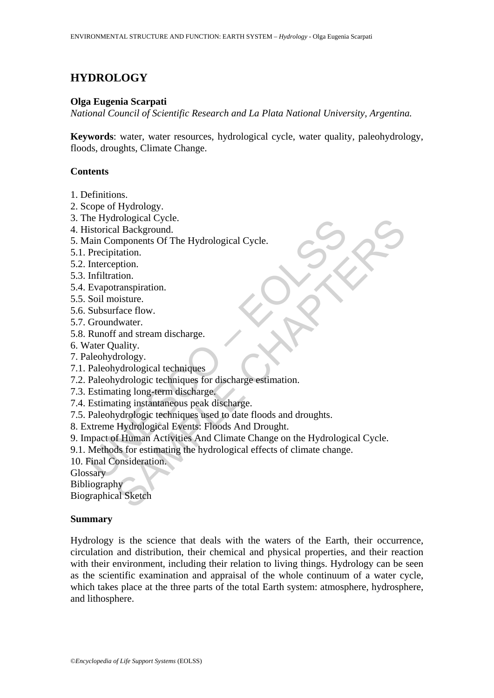# **HYDROLOGY**

## **Olga Eugenia Scarpati**

*National Council of Scientific Research and La Plata National University, Argentina.* 

**Keywords**: water, water resources, hydrological cycle, water quality, paleohydrology, floods, droughts, Climate Change.

## **Contents**

- 1. Definitions.
- 2. Scope of Hydrology.
- 3. The Hydrological Cycle.
- 4. Historical Background.
- 5. Main Components Of The Hydrological Cycle.
- 5.1. Precipitation.
- 5.2. Interception.
- 5.3. Infiltration.
- 5.4. Evapotranspiration.
- 5.5. Soil moisture.
- 5.6. Subsurface flow.
- 5.7. Groundwater.
- 5.8. Runoff and stream discharge.
- 6. Water Quality.
- 7. Paleohydrology.
- 7.1. Paleohydrological techniques
- 7.2. Paleohydrologic techniques for discharge estimation.
- 7.3. Estimating long-term discharge.
- 7.4. Estimating instantaneous peak discharge.
- 7.5. Paleohydrologic techniques used to date floods and droughts.
- 8. Extreme Hydrological Events: Floods And Drought.
- Instoried Background.<br>
Is incomponents Of The Hydrological Cycle.<br>
Itain Components Of The Hydrological Cycle.<br>
Precipitation.<br>
Infiltration.<br>
Infiltration.<br>
Infiltration.<br>
Subsurface flow.<br>
Groundwater.<br>
Runoff and stream rological Cycle.<br>
al Background.<br>
Imponents Of The Hydrological Cycle.<br>
Intainon.<br>
transpiration.<br>
transpiration.<br>
disture.<br>
disture.<br>
disture.<br>
and stream discharge.<br>
analy,<br>
divelogy.<br>
strology.<br>
strology.<br>
strological t 9. Impact of Human Activities And Climate Change on the Hydrological Cycle.
- 9.1. Methods for estimating the hydrological effects of climate change.
- 10. Final Consideration.

**Glossary** 

Bibliography

Biographical Sketch

## **Summary**

Hydrology is the science that deals with the waters of the Earth, their occurrence, circulation and distribution, their chemical and physical properties, and their reaction with their environment, including their relation to living things. Hydrology can be seen as the scientific examination and appraisal of the whole continuum of a water cycle, which takes place at the three parts of the total Earth system: atmosphere, hydrosphere, and lithosphere.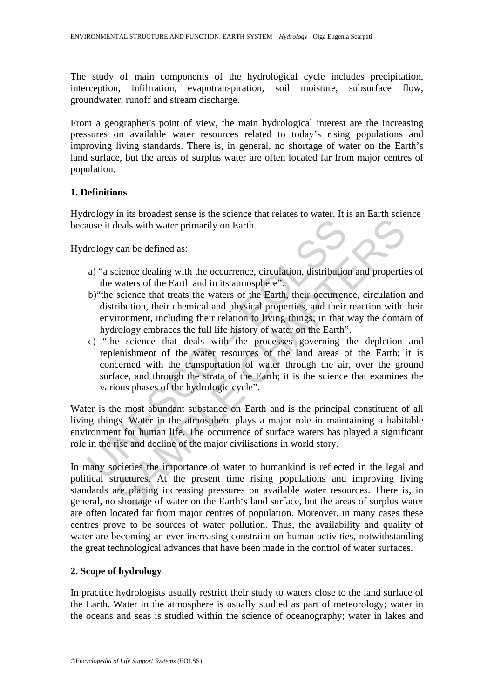The study of main components of the hydrological cycle includes precipitation, interception, infiltration, evapotranspiration, soil moisture, subsurface flow, groundwater, runoff and stream discharge.

From a geographer's point of view, the main hydrological interest are the increasing pressures on available water resources related to today's rising populations and improving living standards. There is, in general, no shortage of water on the Earth's land surface, but the areas of surplus water are often located far from major centres of population.

## **1. Definitions**

Hydrology in its broadest sense is the science that relates to water. It is an Earth science because it deals with water primarily on Earth.

Hydrology can be defined as:

- a) "a science dealing with the occurrence, circulation, distribution and properties of the waters of the Earth and in its atmosphere".
- b)"the science that treats the waters of the Earth, their occurrence, circulation and distribution, their chemical and physical properties, and their reaction with their environment, including their relation to living things; in that way the domain of hydrology embraces the full life history of water on the Earth".
- all deals with water primarily on Earth.<br>
Irology can be defined as:<br>
a) "a science dealing with the occurrence, circulation, distributio<br>
the waters of the Earth and in its atmosphere".<br>
b) "the science that treats the wa deals with water primarily on Earth.<br>
can be defined as:<br>
cience dealing with the occurrence, circulation, distribution and propertie<br>
waters of the Earth and in its atmosphere".<br>
science that treats the waters of the Eart c) "the science that deals with the processes governing the depletion and replenishment of the water resources of the land areas of the Earth; it is concerned with the transportation of water through the air, over the ground surface, and through the strata of the Earth; it is the science that examines the various phases of the hydrologic cycle".

Water is the most abundant substance on Earth and is the principal constituent of all living things. Water in the atmosphere plays a major role in maintaining a habitable environment for human life. The occurrence of surface waters has played a significant role in the rise and decline of the major civilisations in world story.

In many societies the importance of water to humankind is reflected in the legal and political structures. At the present time rising populations and improving living standards are placing increasing pressures on available water resources. There is, in general, no shortage of water on the Earth's land surface, but the areas of surplus water are often located far from major centres of population. Moreover, in many cases these centres prove to be sources of water pollution. Thus, the availability and quality of water are becoming an ever-increasing constraint on human activities, notwithstanding the great technological advances that have been made in the control of water surfaces.

## **2. Scope of hydrology**

In practice hydrologists usually restrict their study to waters close to the land surface of the Earth. Water in the atmosphere is usually studied as part of meteorology; water in the oceans and seas is studied within the science of oceanography; water in lakes and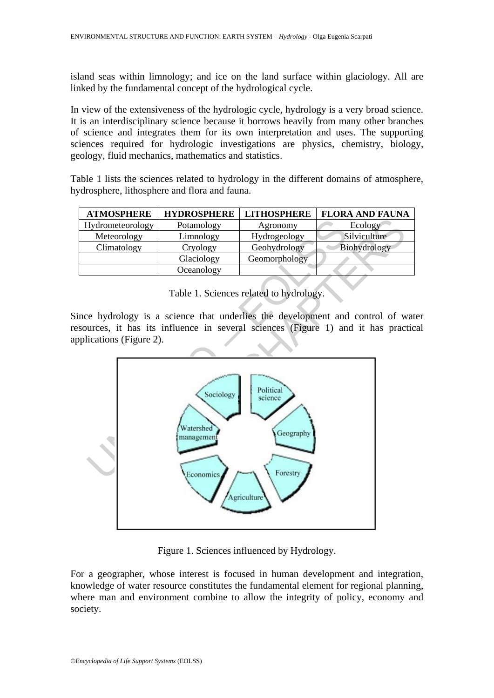island seas within limnology; and ice on the land surface within glaciology. All are linked by the fundamental concept of the hydrological cycle.

In view of the extensiveness of the hydrologic cycle, hydrology is a very broad science. It is an interdisciplinary science because it borrows heavily from many other branches of science and integrates them for its own interpretation and uses. The supporting sciences required for hydrologic investigations are physics, chemistry, biology, geology, fluid mechanics, mathematics and statistics.

Table 1 lists the sciences related to hydrology in the different domains of atmosphere, hydrosphere, lithosphere and flora and fauna.

| <b>ATMOSPHERE</b> | <b>HYDROSPHERE</b> | <b>LITHOSPHERE</b> | <b>FLORA AND FAUNA</b> |
|-------------------|--------------------|--------------------|------------------------|
| Hydrometeorology  | Potamology         | Agronomy           | Ecology                |
| Meteorology       | Limnology          | Hydrogeology       | Silviculture           |
| Climatology       | Cryology           | Geohydrology       | Biohydrology           |
|                   | Glaciology         | Geomorphology      |                        |
|                   | Oceanology         |                    |                        |

Table 1. Sciences related to hydrology.

Since hydrology is a science that underlies the development and control of water resources, it has its influence in several sciences (Figure 1) and it has practical applications (Figure 2).



Figure 1. Sciences influenced by Hydrology.

For a geographer, whose interest is focused in human development and integration, knowledge of water resource constitutes the fundamental element for regional planning, where man and environment combine to allow the integrity of policy, economy and society.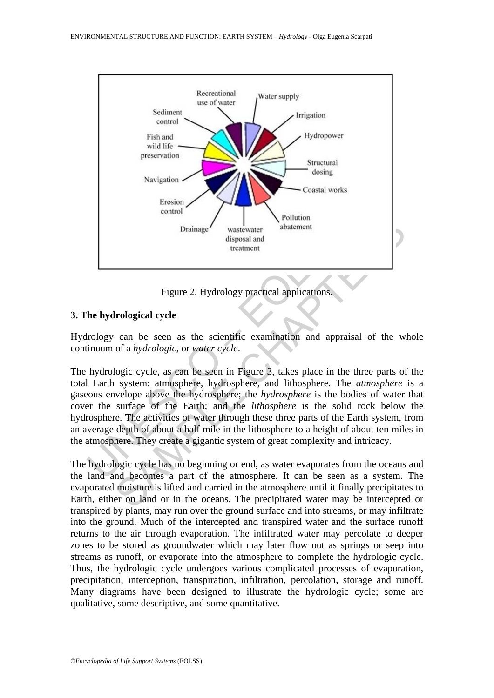

Figure 2. Hydrology practical applications.

## **3. The hydrological cycle**

Hydrology can be seen as the scientific examination and appraisal of the whole continuum of a *hydrologic*, or *water cycle*.

Drainage<br>
Unitary and the disposal and<br>
Unitary disposal and<br>
Unitary disposal and<br>
Unitary disposal and<br>
Unitary disposal and<br>
Unitary Equivalent<br>
Unitary Section 2. Hydrology practical applications.<br>
Tigure 2. Hydrology Drainage<br>
Figure 2. Hydrology practical applications.<br>
Figure 2. Hydrology practical applications.<br>
Figure 2. Hydrology practical applications.<br> **CHAPTERS CHAPTERS**<br>
Figure 2. Hydrology practical applications.<br> **CHAPTERS**<br> The hydrologic cycle, as can be seen in Figure 3, takes place in the three parts of the total Earth system: atmosphere, hydrosphere, and lithosphere. The *atmosphere* is a gaseous envelope above the hydrosphere; the *hydrosphere* is the bodies of water that cover the surface of the Earth; and the *lithosphere* is the solid rock below the hydrosphere. The activities of water through these three parts of the Earth system, from an average depth of about a half mile in the lithosphere to a height of about ten miles in the atmosphere. They create a gigantic system of great complexity and intricacy.

The hydrologic cycle has no beginning or end, as water evaporates from the oceans and the land and becomes a part of the atmosphere. It can be seen as a system. The evaporated moisture is lifted and carried in the atmosphere until it finally precipitates to Earth, either on land or in the oceans. The precipitated water may be intercepted or transpired by plants, may run over the ground surface and into streams, or may infiltrate into the ground. Much of the intercepted and transpired water and the surface runoff returns to the air through evaporation. The infiltrated water may percolate to deeper zones to be stored as groundwater which may later flow out as springs or seep into streams as runoff, or evaporate into the atmosphere to complete the hydrologic cycle. Thus, the hydrologic cycle undergoes various complicated processes of evaporation, precipitation, interception, transpiration, infiltration, percolation, storage and runoff. Many diagrams have been designed to illustrate the hydrologic cycle; some are qualitative, some descriptive, and some quantitative.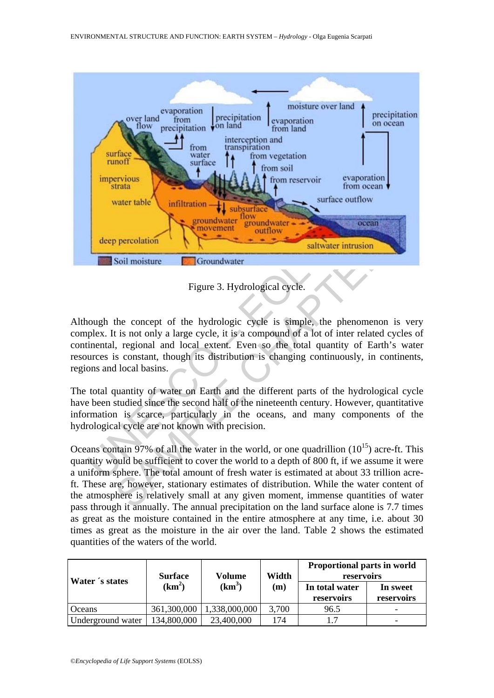

Figure 3. Hydrological cycle.

Although the concept of the hydrologic cycle is simple, the phenomenon is very complex. It is not only a large cycle, it is a compound of a lot of inter related cycles of continental, regional and local extent. Even so the total quantity of Earth's water resources is constant, though its distribution is changing continuously, in continents, regions and local basins.

The total quantity of water on Earth and the different parts of the hydrological cycle have been studied since the second half of the nineteenth century. However, quantitative information is scarce, particularly in the oceans, and many components of the hydrological cycle are not known with precision.

**Example the Chaptain Constant of the Chapter of the Although Chapter interest of the concept of the hydrological cycle.**<br>
Tigure 3. Hydrological cycle.<br>
The concept of the hydrologic cycle is simple, the phenomenon is<br>
i Oceans contain 97% of all the water in the world, or one quadrillion  $(10^{15})$  acre-ft. This quantity would be sufficient to cover the world to a depth of 800 ft, if we assume it were a uniform sphere. The total amount of fresh water is estimated at about 33 trillion acreft. These are, however, stationary estimates of distribution. While the water content of the atmosphere is relatively small at any given moment, immense quantities of water pass through it annually. The annual precipitation on the land surface alone is 7.7 times as great as the moisture contained in the entire atmosphere at any time, i.e. about 30 times as great as the moisture in the air over the land. Table 2 shows the estimated quantities of the waters of the world.

| Water 's states   | <b>Surface</b><br>$(km^2)$ | Volume<br>$(km^3)$ | Width<br>(m) | <b>Proportional parts in world</b><br>reservoirs |                        |
|-------------------|----------------------------|--------------------|--------------|--------------------------------------------------|------------------------|
|                   |                            |                    |              | In total water<br>reservoirs                     | In sweet<br>reservoirs |
| <b>Oceans</b>     | 361,300,000                | 1,338,000,000      | 3,700        | 96.5                                             |                        |
| Underground water | 134,800,000                | 23,400,000         | 174          | 1.7                                              |                        |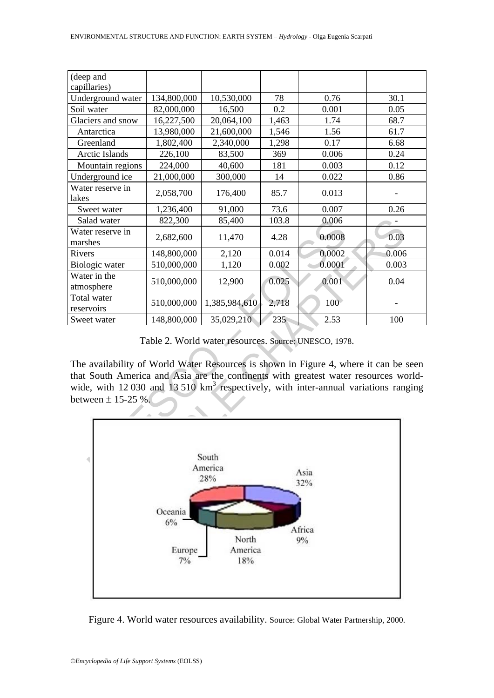| (deep and                                                                                                                                                                                                                            |             |               |       |                  |              |  |  |  |
|--------------------------------------------------------------------------------------------------------------------------------------------------------------------------------------------------------------------------------------|-------------|---------------|-------|------------------|--------------|--|--|--|
| capillaries)<br>Underground water                                                                                                                                                                                                    | 134,800,000 | 10,530,000    | 78    | 0.76             | 30.1         |  |  |  |
| Soil water                                                                                                                                                                                                                           | 82,000,000  | 16,500        | 0.2   | 0.001            | 0.05         |  |  |  |
| Glaciers and snow                                                                                                                                                                                                                    | 16,227,500  | 20,064,100    | 1,463 | 1.74             | 68.7         |  |  |  |
| Antarctica                                                                                                                                                                                                                           | 13,980,000  | 21,600,000    | 1,546 | 1.56             | 61.7         |  |  |  |
| Greenland                                                                                                                                                                                                                            |             |               |       | 0.17             |              |  |  |  |
| Arctic Islands                                                                                                                                                                                                                       | 1,802,400   | 2,340,000     | 1,298 | 0.006            | 6.68<br>0.24 |  |  |  |
|                                                                                                                                                                                                                                      | 226,100     | 83,500        | 369   |                  |              |  |  |  |
| Mountain regions                                                                                                                                                                                                                     | 224,000     | 40,600        | 181   | 0.003            | 0.12         |  |  |  |
| Underground ice                                                                                                                                                                                                                      | 21,000,000  | 300,000       | 14    | 0.022            | 0.86         |  |  |  |
| Water reserve in<br>lakes                                                                                                                                                                                                            | 2,058,700   | 176,400       | 85.7  | 0.013            |              |  |  |  |
| Sweet water                                                                                                                                                                                                                          | 1,236,400   | 91,000        | 73.6  | 0.007            | 0.26         |  |  |  |
| Salad water                                                                                                                                                                                                                          | 822,300     | 85,400        | 103.8 | 0.006            |              |  |  |  |
| Water reserve in                                                                                                                                                                                                                     | 2,682,600   | 11,470        | 4.28  | 0.0008           | 0.03         |  |  |  |
| marshes                                                                                                                                                                                                                              |             |               |       |                  |              |  |  |  |
| Rivers                                                                                                                                                                                                                               | 148,800,000 | 2,120         | 0.014 | 0.0002           | 0.006        |  |  |  |
| Biologic water                                                                                                                                                                                                                       | 510,000,000 | 1,120         | 0.002 | 0.0001           | 0.003        |  |  |  |
| Water in the<br>atmosphere                                                                                                                                                                                                           | 510,000,000 | 12,900        | 0.025 | 0.001            | 0.04         |  |  |  |
| Total water<br>reservoirs                                                                                                                                                                                                            | 510,000,000 | 1,385,984,610 | 2,718 | 100 <sup>°</sup> |              |  |  |  |
| Sweet water                                                                                                                                                                                                                          | 148,800,000 | 35,029,210    | 235   | 2.53             | 100          |  |  |  |
|                                                                                                                                                                                                                                      |             |               |       |                  |              |  |  |  |
| Table 2. World water resources. Source: UNESCO, 1978.<br>The availability of World Water Resources is shown in Figure 4, where it can be seen<br>that South America and Asia are the continents with greatest water resources world- |             |               |       |                  |              |  |  |  |
| wide, with 12 030 and 13 510 $km3$ respectively, with inter-annual variations ranging                                                                                                                                                |             |               |       |                  |              |  |  |  |
| between $\pm$ 15-25 %.                                                                                                                                                                                                               |             |               |       |                  |              |  |  |  |
|                                                                                                                                                                                                                                      |             |               |       |                  |              |  |  |  |
|                                                                                                                                                                                                                                      |             |               |       |                  |              |  |  |  |
| South<br>America                                                                                                                                                                                                                     |             |               |       |                  |              |  |  |  |
|                                                                                                                                                                                                                                      | Asia<br>28% |               |       |                  |              |  |  |  |
| 32%                                                                                                                                                                                                                                  |             |               |       |                  |              |  |  |  |
|                                                                                                                                                                                                                                      |             |               |       |                  |              |  |  |  |
|                                                                                                                                                                                                                                      |             |               |       |                  |              |  |  |  |

Table 2. World water resources. Source: UNESCO, 1978.



Figure 4. World water resources availability. Source: Global Water Partnership, 2000.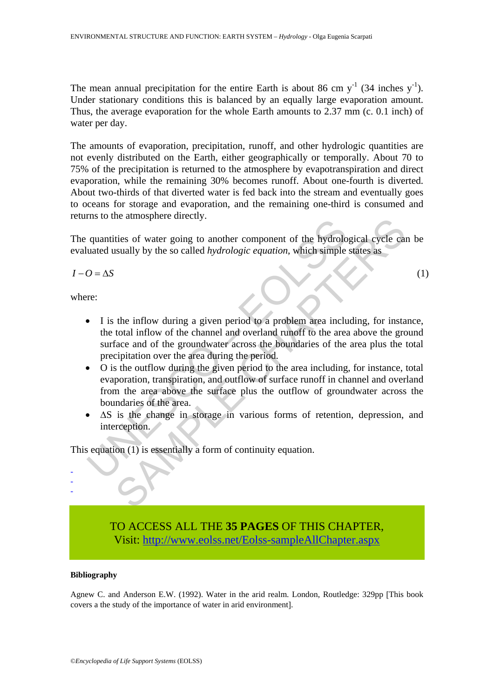The mean annual precipitation for the entire Earth is about 86 cm  $y^{-1}$  (34 inches  $y^{-1}$ ). Under stationary conditions this is balanced by an equally large evaporation amount. Thus, the average evaporation for the whole Earth amounts to 2.37 mm (c. 0.1 inch) of water per day.

The amounts of evaporation, precipitation, runoff, and other hydrologic quantities are not evenly distributed on the Earth, either geographically or temporally. About 70 to 75% of the precipitation is returned to the atmosphere by evapotranspiration and direct evaporation, while the remaining 30% becomes runoff. About one-fourth is diverted. About two-thirds of that diverted water is fed back into the stream and eventually goes to oceans for storage and evaporation, and the remaining one-third is consumed and returns to the atmosphere directly.

The quantities of water going to another component of the hydrological cycle can be evaluated usually by the so called *hydrologic equation*, which simple states as

 $I - O = \Delta S$  (1)

where:

- quantities of water going to another component of the hydrolouated usually by the so called *hydrologic equation*, which simple  $O = \Delta S$ <br>
The so called *hydrologic equation*, which simple  $O = \Delta S$ <br>
The set of the component ties of water going to another component of the hydrological cycle can<br>usually by the so called *hydrologic equation*, which simple states as<br>total inflow of the channel and overland tunoff to the area above the grota-<br>tot • I is the inflow during a given period to a problem area including, for instance, the total inflow of the channel and overland runoff to the area above the ground surface and of the groundwater across the boundaries of the area plus the total precipitation over the area during the period.
- O is the outflow during the given period to the area including, for instance, total evaporation, transpiration, and outflow of surface runoff in channel and overland from the area above the surface plus the outflow of groundwater across the boundaries of the area.
- ΔS is the change in storage in various forms of retention, depression, and interception.

This equation (1) is essentially a form of continuity equation.

TO ACCESS ALL THE **35 PAGES** OF THIS CHAPTER, Visit: [http://www.eolss.net/Eolss-sampleAllChapter.aspx](https://www.eolss.net/ebooklib/sc_cart.aspx?File=E6-14-02-03)

### **Bibliography**

- - -

Agnew C. and Anderson E.W. (1992). Water in the arid realm. London, Routledge: 329pp [This book covers a the study of the importance of water in arid environment].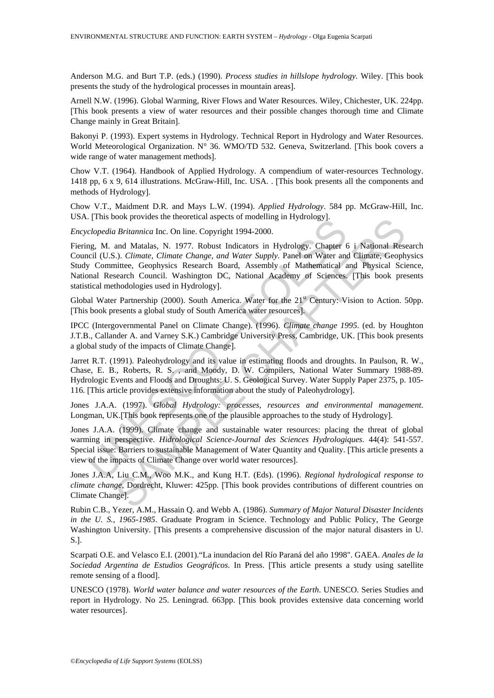Anderson M.G. and Burt T.P. (eds.) (1990). *Process studies in hillslope hydrology*. Wiley. [This book presents the study of the hydrological processes in mountain areas].

Arnell N.W. (1996). Global Warming, River Flows and Water Resources. Wiley, Chichester, UK. 224pp. [This book presents a view of water resources and their possible changes thorough time and Climate Change mainly in Great Britain].

Bakonyi P. (1993). Expert systems in Hydrology. Technical Report in Hydrology and Water Resources. World Meteorological Organization. N° 36. WMO/TD 532. Geneva, Switzerland. [This book covers a wide range of water management methods].

Chow V.T. (1964). Handbook of Applied Hydrology. A compendium of water-resources Technology. 1418 pp, 6 x 9, 614 illustrations. McGraw-Hill, Inc. USA. . [This book presents all the components and methods of Hydrology].

Chow V.T., Maidment D.R. and Mays L.W. (1994). *Applied Hydrology*. 584 pp. McGraw-Hill, Inc. USA. [This book provides the theoretical aspects of modelling in Hydrology].

*Encyclopedia Britannica* Inc. On line. Copyright 1994-2000.

clopedia Britannica Inc. On line. Copyright 1994-2000.<br>
relopedia Britannica Inc. On line. Copyright 1994-2000.<br>
Ing, M. and Matalas, N. 1977. Robust Indicators in Hydrology. Chapter for liel (U.S.). Climate, Climate Chang book provides the interdental aspects of modeling in Hydrology].<br> *Britannica* Inc. Chynich 1994-2000.<br>
and Matalas, N. 1977. Robust Indicators in Hydrology. Chapter 6 i National Resard Matalas, N. 1977. Robust Indicaters Fiering, M. and Matalas, N. 1977. Robust Indicators in Hydrology. Chapter 6 i National Research Council (U.S.). *Climate, Climate Change, and Water Supply*. Panel on Water and Climate, Geophysics Study Committee, Geophysics Research Board, Assembly of Mathematical and Physical Science, National Research Council. Washington DC, National Academy of Sciences. [This book presents statistical methodologies used in Hydrology].

Global Water Partnership (2000). South America. Water for the  $21<sup>st</sup>$  Century: Vision to Action. 50pp. [This book presents a global study of South America water resources].

IPCC (Intergovernmental Panel on Climate Change). (1996). *Climate change 1995*. (ed. by Houghton J.T.B., Callander A. and Varney S.K.) Cambridge University Press, Cambridge, UK. [This book presents a global study of the impacts of Climate Change].

Jarret R.T. (1991). Paleohydrology and its value in estimating floods and droughts. In Paulson, R. W., Chase, E. B., Roberts, R. S. , and Moody, D. W. Compilers, National Water Summary 1988-89. Hydrologic Events and Floods and Droughts: U. S. Geological Survey. Water Supply Paper 2375, p. 105- 116. [This article provides extensive information about the study of Paleohydrology].

Jones J.A.A. (1997). *Global Hydrology: processes, resources and environmental management*. Longman, UK.[This book represents one of the plausible approaches to the study of Hydrology].

Jones J.A.A. (1999). Climate change and sustainable water resources: placing the threat of global warming in perspective. *Hidrological Science-Journal des Sciences Hydrologiques*. 44(4): 541-557. Special issue: Barriers to sustainable Management of Water Quantity and Quality. [This article presents a view of the impacts of Climate Change over world water resources].

Jones J.A.A, Liu C.M., Woo M.K., and Kung H.T. (Eds). (1996). *Regional hydrological response to climate change*, Dordrecht, Kluwer: 425pp. [This book provides contributions of different countries on Climate Change].

Rubin C.B., Yezer, A.M., Hassain Q. and Webb A. (1986). *Summary of Major Natural Disaster Incidents in the U. S., 1965-1985*. Graduate Program in Science. Technology and Public Policy, The George Washington University. [This presents a comprehensive discussion of the major natural disasters in U. S.].

Scarpati O.E. and Velasco E.I. (2001)."La inundacion del Río Paraná del año 1998". GAEA. *Anales de la Sociedad Argentina de Estudios Geográficos*. In Press. [This article presents a study using satellite remote sensing of a flood].

UNESCO (1978). *World water balance and water resources of the Earth*. UNESCO. Series Studies and report in Hydrology. No 25. Leningrad. 663pp. [This book provides extensive data concerning world water resources].